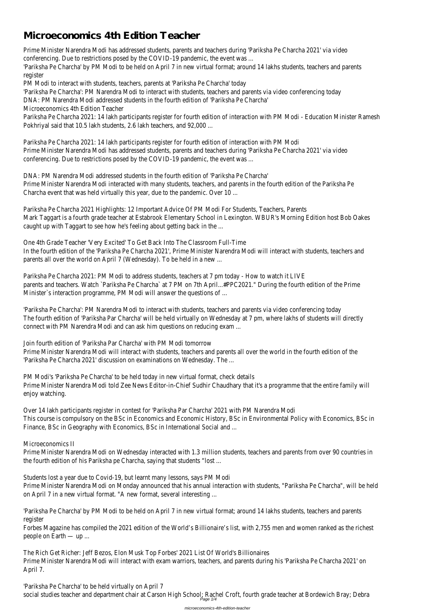# **Microeconomics 4th Edition Teacher**

Prime Minister Narendra Modi has addressed students, parents and teachers during 'Pariksha Pe Charcha 2021' via video conferencing. Due to restrictions posed by the COVID-19 pandemic, the event was ...

'Pariksha Pe Charcha' by PM Modi to be held on April 7 in new virtual format; around 14 lakhs students, teachers and parents register

Pariksha Pe Charcha 2021: 14 lakh participants register for fourth edition of interaction with PM Modi - Education Minister Ramesh Pokhriyal said that 10.5 lakh students, 2.6 lakh teachers, and 92,000 ...

PM Modi to interact with students, teachers, parents at 'Pariksha Pe Charcha' today

'Pariksha Pe Charcha': PM Narendra Modi to interact with students, teachers and parents via video conferencing today

DNA: PM Narendra Modi addressed students in the fourth edition of 'Pariksha Pe Charcha'

Microeconomics 4th Edition Teacher

Pariksha Pe Charcha 2021: 14 lakh participants register for fourth edition of interaction with PM Modi Prime Minister Narendra Modi has addressed students, parents and teachers during 'Pariksha Pe Charcha 2021' via video conferencing. Due to restrictions posed by the COVID-19 pandemic, the event was ...

DNA: PM Narendra Modi addressed students in the fourth edition of 'Pariksha Pe Charcha' Prime Minister Narendra Modi interacted with many students, teachers, and parents in the fourth edition of the Pariksha Pe Charcha event that was held virtually this year, due to the pandemic. Over 10 ...

Pariksha Pe Charcha 2021 Highlights: 12 Important Advice Of PM Modi For Students, Teachers, Parents Mark Taggart is a fourth grade teacher at Estabrook Elementary School in Lexington. WBUR's Morning Edition host Bob Oakes caught up with Taggart to see how he's feeling about getting back in the ...

Prime Minister Narendra Modi on Wednesday interacted with 1.3 million students, teachers and parents from over 90 countries in the fourth edition of his Pariksha pe Charcha, saying that students "lost ...

One 4th Grade Teacher 'Very Excited' To Get Back Into The Classroom Full-Time

In the fourth edition of the 'Pariksha Pe Charcha 2021', Prime Minister Narendra Modi will interact with students, teachers and parents all over the world on April 7 (Wednesday). To be held in a new ...

Pariksha Pe Charcha 2021: PM Modi to address students, teachers at 7 pm today - How to watch it LIVE parents and teachers. Watch `Pariksha Pe Charcha` at 7 PM on 7th April...#PPC2021." During the fourth edition of the Prime Minister`s interaction programme, PM Modi will answer the questions of ...

'Pariksha Pe Charcha' to be held virtually on April 7 social studies teacher and department chair at Carson High School; Rachel Croft, fourth grade teacher at Bordewich Bray; Debra Page 1/

'Pariksha Pe Charcha': PM Narendra Modi to interact with students, teachers and parents via video conferencing today The fourth edition of 'Pariksha Par Charcha' will be held virtually on Wednesday at 7 pm, where lakhs of students will directly connect with PM Narendra Modi and can ask him questions on reducing exam ...

Join fourth edition of 'Pariksha Par Charcha' with PM Modi tomorrow

Prime Minister Narendra Modi will interact with students, teachers and parents all over the world in the fourth edition of the 'Pariksha Pe Charcha 2021' discussion on examinations on Wednesday. The ...

PM Modi's 'Pariksha Pe Charcha' to be held today in new virtual format, check details Prime Minister Narendra Modi told Zee News Editor-in-Chief Sudhir Chaudhary that it's a programme that the entire family will enjoy watching.

Over 14 lakh participants register in contest for 'Pariksha Par Charcha' 2021 with PM Narendra Modi This course is compulsory on the BSc in Economics and Economic History, BSc in Environmental Policy with Economics, BSc in Finance, BSc in Geography with Economics, BSc in International Social and ...

## Microeconomics II

Students lost a year due to Covid-19, but learnt many lessons, says PM Modi

Prime Minister Narendra Modi on Monday announced that his annual interaction with students, "Pariksha Pe Charcha", will be held on April 7 in a new virtual format. "A new format, several interesting ...

'Pariksha Pe Charcha' by PM Modi to be held on April 7 in new virtual format; around 14 lakhs students, teachers and parents register

Forbes Magazine has compiled the 2021 edition of the World's Billionaire's list, with 2,755 men and women ranked as the richest people on Earth — up ...

The Rich Get Richer: Jeff Bezos, Elon Musk Top Forbes' 2021 List Of World's Billionaires Prime Minister Narendra Modi will interact with exam warriors, teachers, and parents during his 'Pariksha Pe Charcha 2021' on April 7.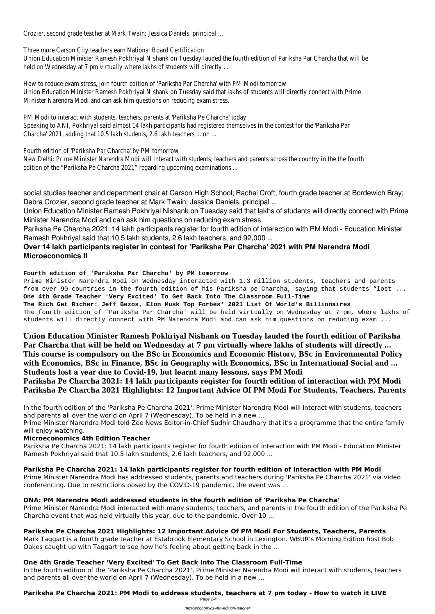Crozier, second grade teacher at Mark Twain; Jessica Daniels, principal ...

Union Education Minister Ramesh Pokhriyal Nishank on Tuesday lauded the fourth edition of Pariksha Par Charcha that will be held on Wednesday at 7 pm virtually where lakhs of students will directly ...

Three more Carson City teachers earn National Board Certification

How to reduce exam stress, join fourth edition of 'Pariksha Par Charcha' with PM Modi tomorrow Union Education Minister Ramesh Pokhriyal Nishank on Tuesday said that lakhs of students will directly connect with Prime Minister Narendra Modi and can ask him questions on reducing exam stress.

PM Modi to interact with students, teachers, parents at 'Pariksha Pe Charcha' today Speaking to ANI, Pokhriyal said almost 14 lakh participants had registered themselves in the contest for the 'Pariksha Par Charcha' 2021, adding that 10.5 lakh students, 2.6 lakh teachers ... on ...

Fourth edition of 'Pariksha Par Charcha' by PM tomorrow

New Delhi: Prime Minister Narendra Modi will interact with students, teachers and parents across the country in the the fourth edition of the "Pariksha Pe Charcha 2021" regarding upcoming examinations ...

social studies teacher and department chair at Carson High School; Rachel Croft, fourth grade teacher at Bordewich Bray; Debra Crozier, second grade teacher at Mark Twain; Jessica Daniels, principal ...

Union Education Minister Ramesh Pokhriyal Nishank on Tuesday said that lakhs of students will directly connect with Prime Minister Narendra Modi and can ask him questions on reducing exam stress.

Pariksha Pe Charcha 2021: 14 lakh participants register for fourth edition of interaction with PM Modi - Education Minister Ramesh Pokhriyal said that 10.5 lakh students, 2.6 lakh teachers, and 92,000 ...

# **Over 14 lakh participants register in contest for 'Pariksha Par Charcha' 2021 with PM Narendra Modi Microeconomics II**

#### **Fourth edition of 'Pariksha Par Charcha' by PM tomorrow**

Prime Minister Narendra Modi on Wednesday interacted with 1.3 million students, teachers and parents from over 90 countries in the fourth edition of his Pariksha pe Charcha, saying that students "lost ... **One 4th Grade Teacher 'Very Excited' To Get Back Into The Classroom Full-Time**

**The Rich Get Richer: Jeff Bezos, Elon Musk Top Forbes' 2021 List Of World's Billionaires** The fourth edition of 'Pariksha Par Charcha' will be held virtually on Wednesday at 7 pm, where lakhs of students will directly connect with PM Narendra Modi and can ask him questions on reducing exam ...

In the fourth edition of the 'Pariksha Pe Charcha 2021', Prime Minister Narendra Modi will interact with students, teachers and parents all over the world on April 7 (Wednesday). To be held in a new ...

**Union Education Minister Ramesh Pokhriyal Nishank on Tuesday lauded the fourth edition of Pariksha Par Charcha that will be held on Wednesday at 7 pm virtually where lakhs of students will directly ... This course is compulsory on the BSc in Economics and Economic History, BSc in Environmental Policy with Economics, BSc in Finance, BSc in Geography with Economics, BSc in International Social and ... Students lost a year due to Covid-19, but learnt many lessons, says PM Modi**

**Pariksha Pe Charcha 2021: 14 lakh participants register for fourth edition of interaction with PM Modi Pariksha Pe Charcha 2021 Highlights: 12 Important Advice Of PM Modi For Students, Teachers, Parents**

In the fourth edition of the 'Pariksha Pe Charcha 2021', Prime Minister Narendra Modi will interact with students, teachers and parents all over the world on April 7 (Wednesday). To be held in a new ...

Prime Minister Narendra Modi told Zee News Editor-in-Chief Sudhir Chaudhary that it's a programme that the entire family will enjoy watching.

## **Microeconomics 4th Edition Teacher**

Pariksha Pe Charcha 2021: 14 lakh participants register for fourth edition of interaction with PM Modi - Education Minister Ramesh Pokhriyal said that 10.5 lakh students, 2.6 lakh teachers, and 92,000 ...

**Pariksha Pe Charcha 2021: 14 lakh participants register for fourth edition of interaction with PM Modi** Prime Minister Narendra Modi has addressed students, parents and teachers during 'Pariksha Pe Charcha 2021' via video conferencing. Due to restrictions posed by the COVID-19 pandemic, the event was ...

#### **DNA: PM Narendra Modi addressed students in the fourth edition of 'Pariksha Pe Charcha'**

Prime Minister Narendra Modi interacted with many students, teachers, and parents in the fourth edition of the Pariksha Pe Charcha event that was held virtually this year, due to the pandemic. Over 10 ...

#### **Pariksha Pe Charcha 2021 Highlights: 12 Important Advice Of PM Modi For Students, Teachers, Parents** Mark Taggart is a fourth grade teacher at Estabrook Elementary School in Lexington. WBUR's Morning Edition host Bob Oakes caught up with Taggart to see how he's feeling about getting back in the ...

#### **One 4th Grade Teacher 'Very Excited' To Get Back Into The Classroom Full-Time**

#### **Pariksha Pe Charcha 2021: PM Modi to address students, teachers at 7 pm today - How to watch it LIVE**

Page 2/4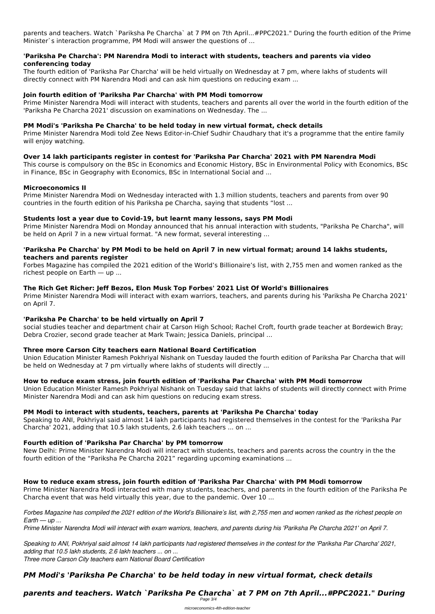parents and teachers. Watch `Pariksha Pe Charcha` at 7 PM on 7th April...#PPC2021." During the fourth edition of the Prime Minister`s interaction programme, PM Modi will answer the questions of ...

#### **'Pariksha Pe Charcha': PM Narendra Modi to interact with students, teachers and parents via video conferencing today**

The fourth edition of 'Pariksha Par Charcha' will be held virtually on Wednesday at 7 pm, where lakhs of students will directly connect with PM Narendra Modi and can ask him questions on reducing exam ...

#### **Join fourth edition of 'Pariksha Par Charcha' with PM Modi tomorrow**

Prime Minister Narendra Modi will interact with students, teachers and parents all over the world in the fourth edition of the 'Pariksha Pe Charcha 2021' discussion on examinations on Wednesday. The ...

#### **PM Modi's 'Pariksha Pe Charcha' to be held today in new virtual format, check details**

Prime Minister Narendra Modi told Zee News Editor-in-Chief Sudhir Chaudhary that it's a programme that the entire family will enjoy watching.

#### **Over 14 lakh participants register in contest for 'Pariksha Par Charcha' 2021 with PM Narendra Modi**

This course is compulsory on the BSc in Economics and Economic History, BSc in Environmental Policy with Economics, BSc in Finance, BSc in Geography with Economics, BSc in International Social and ...

#### **Microeconomics II**

Prime Minister Narendra Modi on Wednesday interacted with 1.3 million students, teachers and parents from over 90 countries in the fourth edition of his Pariksha pe Charcha, saying that students "lost ...

#### **Students lost a year due to Covid-19, but learnt many lessons, says PM Modi**

Prime Minister Narendra Modi on Monday announced that his annual interaction with students, "Pariksha Pe Charcha", will be held on April 7 in a new virtual format. "A new format, several interesting ...

#### **'Pariksha Pe Charcha' by PM Modi to be held on April 7 in new virtual format; around 14 lakhs students, teachers and parents register**

Forbes Magazine has compiled the 2021 edition of the World's Billionaire's list, with 2,755 men and women ranked as the richest people on Earth — up ...

#### **The Rich Get Richer: Jeff Bezos, Elon Musk Top Forbes' 2021 List Of World's Billionaires**

Prime Minister Narendra Modi will interact with exam warriors, teachers, and parents during his 'Pariksha Pe Charcha 2021' on April 7.

#### **'Pariksha Pe Charcha' to be held virtually on April 7**

social studies teacher and department chair at Carson High School; Rachel Croft, fourth grade teacher at Bordewich Bray; Debra Crozier, second grade teacher at Mark Twain; Jessica Daniels, principal ...

#### **Three more Carson City teachers earn National Board Certification**

Union Education Minister Ramesh Pokhriyal Nishank on Tuesday lauded the fourth edition of Pariksha Par Charcha that will be held on Wednesday at 7 pm virtually where lakhs of students will directly ...

#### **How to reduce exam stress, join fourth edition of 'Pariksha Par Charcha' with PM Modi tomorrow**

Union Education Minister Ramesh Pokhriyal Nishank on Tuesday said that lakhs of students will directly connect with Prime Minister Narendra Modi and can ask him questions on reducing exam stress.

#### **PM Modi to interact with students, teachers, parents at 'Pariksha Pe Charcha' today**

Speaking to ANI, Pokhriyal said almost 14 lakh participants had registered themselves in the contest for the 'Pariksha Par Charcha' 2021, adding that 10.5 lakh students, 2.6 lakh teachers ... on ...

#### **Fourth edition of 'Pariksha Par Charcha' by PM tomorrow**

New Delhi: Prime Minister Narendra Modi will interact with students, teachers and parents across the country in the the fourth edition of the "Pariksha Pe Charcha 2021" regarding upcoming examinations ...

#### **How to reduce exam stress, join fourth edition of 'Pariksha Par Charcha' with PM Modi tomorrow**

Prime Minister Narendra Modi interacted with many students, teachers, and parents in the fourth edition of the Pariksha Pe Charcha event that was held virtually this year, due to the pandemic. Over 10 ...

*Forbes Magazine has compiled the 2021 edition of the World's Billionaire's list, with 2,755 men and women ranked as the richest people on Earth — up ...*

*Prime Minister Narendra Modi will interact with exam warriors, teachers, and parents during his 'Pariksha Pe Charcha 2021' on April 7.*

*Speaking to ANI, Pokhriyal said almost 14 lakh participants had registered themselves in the contest for the 'Pariksha Par Charcha' 2021, adding that 10.5 lakh students, 2.6 lakh teachers ... on ... Three more Carson City teachers earn National Board Certification*

#### *PM Modi's 'Pariksha Pe Charcha' to be held today in new virtual format, check details*

## *parents and teachers. Watch `Pariksha Pe Charcha` at 7 PM on 7th April...#PPC2021." During*

Page 3/4